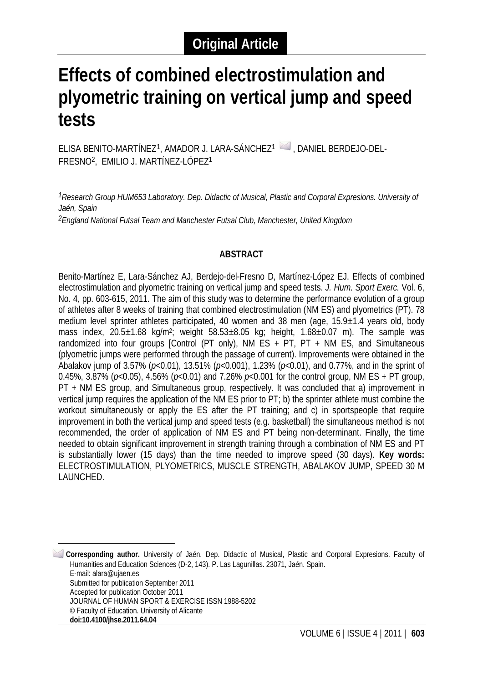# **Effects of combined electrostimulation and plyometric training on vertical jump and speed tests**

ELISA BENITO-MARTÍNEZ<sup>[1](#page-0-0)</sup>, AMADOR J. LARA-SÁNCHEZ<sup>1</sup> , DANIEL BERDEJO-DEL-FRESNO2, EMILIO J. MARTÍNEZ-LÓPEZ1

<sup>1</sup> Research Group HUM653 Laboratory. Dep. Didactic of Musical, Plastic and Corporal Expresions. University of *Jaén, Spain*

*2England National Futsal Team and Manchester Futsal Club, Manchester, United Kingdom*

## **ABSTRACT**

Benito-Martínez E, Lara-Sánchez AJ, Berdejo-del-Fresno D, Martínez-López EJ. Effects of combined electrostimulation and plyometric training on vertical jump and speed tests. *J. Hum. Sport Exerc.* Vol. 6, No. 4, pp. 603-615, 2011. The aim of this study was to determine the performance evolution of a group of athletes after 8 weeks of training that combined electrostimulation (NM ES) and plyometrics (PT). 78 medium level sprinter athletes participated, 40 women and 38 men (age, 15.9±1.4 years old, body mass index,  $20.5\pm1.68$  kg/m<sup>2</sup>; weight  $58.53\pm8.05$  kg; height,  $1.68\pm0.07$  m). The sample was randomized into four groups [Control (PT only), NM ES  $+$  PT, PT  $+$  NM ES, and Simultaneous (plyometric jumps were performed through the passage of current). Improvements were obtained in the Abalakov jump of 3.57% (*p*<0.01), 13.51% (*p*<0.001), 1.23% (*p*<0.01), and 0.77%, and in the sprint of 0.45%, 3.87% (*p*<0.05), 4.56% (*p*<0.01) and 7.26% *p*<0.001 for the control group, NM ES + PT group, PT + NM ES group, and Simultaneous group, respectively. It was concluded that a) improvement in vertical jump requires the application of the NM ES prior to PT; b) the sprinter athlete must combine the workout simultaneously or apply the ES after the PT training; and c) in sportspeople that require improvement in both the vertical jump and speed tests (e.g. basketball) the simultaneous method is not recommended, the order of application of NM ES and PT being non-determinant. Finally, the time needed to obtain significant improvement in strength training through a combination of NM ES and PT is substantially lower (15 days) than the time needed to improve speed (30 days). **Key words:** ELECTROSTIMULATION, PLYOMETRICS, MUSCLE STRENGTH, ABALAKOV JUMP, SPEED 30 M LAUNCHED.

<span id="page-0-0"></span><sup>1</sup> **Corresponding author.** University of Jaén. Dep. Didactic of Musical, Plastic and Corporal Expresions. Faculty of Humanities and Education Sciences (D-2, 143). P. Las Lagunillas. 23071, Jaén. Spain. E-mail: alara@ujaen.es Submitted for publication September 2011 Accepted for publication October 2011 JOURNAL OF HUMAN SPORT & EXERCISE ISSN 1988-5202 © Faculty of Education. University of Alicante

<u>.</u>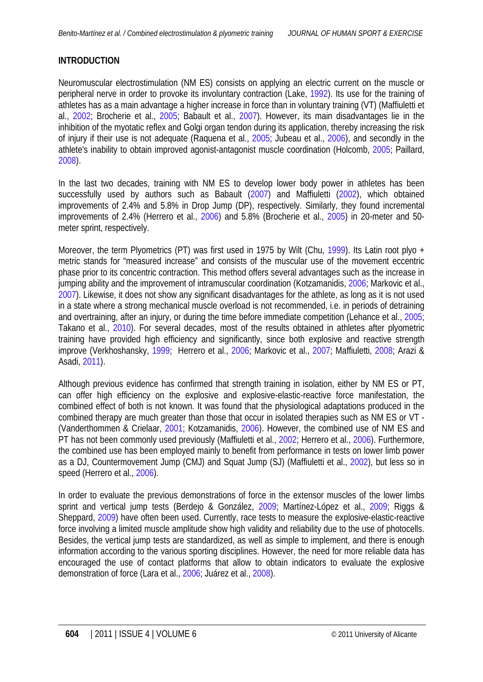# <span id="page-1-0"></span>**INTRODUCTION**

Neuromuscular electrostimulation (NM ES) consists on applying an electric current on the muscle or peripheral nerve in order to provoke its involuntary contraction (Lake, [1992](#page-11-0)). Its use for the training of athletes has as a main advantage a higher increase in force than in voluntary training (VT) (Maffiuletti et al., [2002;](#page-12-0) Brocherie et al., [2005;](#page-11-0) Babault et al., [2007\)](#page-11-0). However, its main disadvantages lie in the inhibition of the myotatic reflex and Golgi organ tendon during its application, thereby increasing the risk of injury if their use is not adequate (Raquena et al., [2005;](#page-12-0) Jubeau et al., [2006\)](#page-11-0), and secondly in the athlete's inability to obtain improved agonist-antagonist muscle coordination (Holcomb, [2005](#page-11-0); Paillard, [2008\)](#page-12-0).

In the last two decades, training with NM ES to develop lower body power in athletes has been successfully used by authors such as Babault ([2007\)](#page-11-0) and Maffiuletti ([2002\)](#page-12-0), which obtained improvements of 2.4% and 5.8% in Drop Jump (DP), respectively. Similarly, they found incremental improvements of 2.4% (Herrero et al., [2006\)](#page-11-0) and 5.8% (Brocherie et al., [2005](#page-11-0)) in 20-meter and 50 meter sprint, respectively.

Moreover, the term Plyometrics (PT) was first used in 1975 by Wilt (Chu, [1999\)](#page-11-0). Its Latin root plyo  $+$ metric stands for "measured increase" and consists of the muscular use of the movement eccentric phase prior to its concentric contraction. This method offers several advantages such as the increase in jumping ability and the improvement of intramuscular coordination (Kotzamanidis, [2006;](#page-11-0) Markovic et al., [2007\)](#page-12-0). Likewise, it does not show any significant disadvantages for the athlete, as long as it is not used in a state where a strong mechanical muscle overload is not recommended, i.e. in periods of detraining and overtraining, after an injury, or during the time before immediate competition (Lehance et al., [2005;](#page-12-0) Takano et al., [2010](#page-12-0)). For several decades, most of the results obtained in athletes after plyometric training have provided high efficiency and significantly, since both explosive and reactive strength improve (Verkhoshansky, [1999](#page-12-0); Herrero et al., [2006](#page-11-0); Markovic et al., [2007](#page-12-0); Maffiuletti, [2008](#page-12-0); Arazi & Asadi, [2011\)](#page-11-0).

Although previous evidence has confirmed that strength training in isolation, either by NM ES or PT, can offer high efficiency on the explosive and explosive-elastic-reactive force manifestation, the combined effect of both is not known. It was found that the physiological adaptations produced in the combined therapy are much greater than those that occur in isolated therapies such as NM ES or VT - (Vanderthommen & Crielaar, [2001](#page-12-0); Kotzamanidis, [2](#page-11-0)[006](#page-12-0)). However, the combined use of NM ES and PT has not been commonly used previously (Maffiuletti et al., [2002;](#page-12-0) Herrero et al., [2006](#page-11-0)). Furthermore, the combined use has been employed mainly to benefit from performance in tests on lower limb power as a DJ, Countermovement Jump (CMJ) and Squat Jump (SJ) (Maffiuletti et al., [2002\)](#page-12-0), but less so in speed (Herrero et al., [2006\)](#page-11-0).

In order to evaluate the previous demonstrations of force in the extensor muscles of the lower limbs sprint and vertical jump tests (Berdejo & González, [2009;](#page-11-0) Martínez-López et al., [2009;](#page-12-0) Riggs & Sheppard, [2009\)](#page-12-0) have often been used. Currently, race tests to measure the explosive-elastic-reactive force involving a limited muscle amplitude show high validity and reliability due to the use of photocells. Besides, the vertical jump tests are standardized, as well as simple to implement, and there is enough information according to the various sporting disciplines. However, the need for more reliable data has encouraged the use of contact platforms that allow to obtain indicators to evaluate the explosive demonstration of force (Lara et al., [2006](#page-11-0); Juárez et al., [2008](#page-11-0)).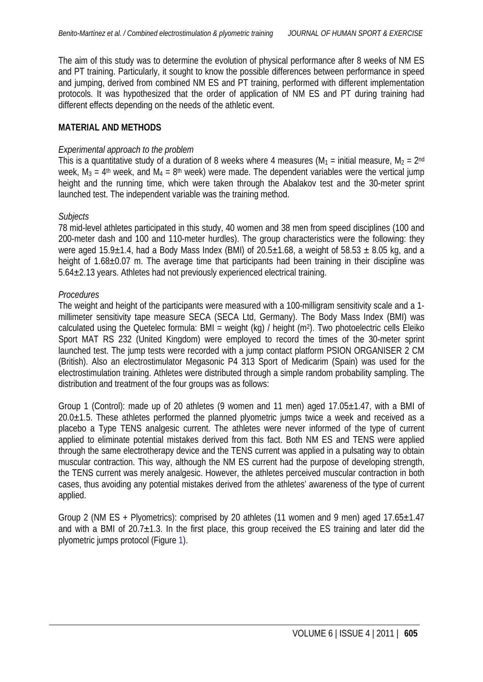The aim of this study was to determine the evolution of physical performance after 8 weeks of NM ES and PT training. Particularly, it sought to know the possible differences between performance in speed and jumping, derived from combined NM ES and PT training, performed with different implementation protocols. It was hypothesized that the order of application of NM ES and PT during training had different effects depending on the needs of the athletic event.

#### **MATERIAL AND METHODS**

#### *Experimental approach to the problem*

This is a quantitative study of a duration of 8 weeks where 4 measures ( $M_1$  = initial measure,  $M_2$  = 2<sup>nd</sup> week,  $M_3 = 4$ <sup>th</sup> week, and  $M_4 = 8$ <sup>th</sup> week) were made. The dependent variables were the vertical jump height and the running time, which were taken through the Abalakov test and the 30-meter sprint launched test. The independent variable was the training method.

#### *Subjects*

78 mid-level athletes participated in this study, 40 women and 38 men from speed disciplines (100 and 200-meter dash and 100 and 110-meter hurdles). The group characteristics were the following: they were aged  $15.9\pm1.4$ , had a Body Mass Index (BMI) of  $20.5\pm1.68$ , a weight of  $58.53 \pm 8.05$  kg, and a height of 1.68±0.07 m. The average time that participants had been training in their discipline was 5.64±2.13 years. Athletes had not previously experienced electrical training.

#### *Procedures*

The weight and height of the participants were measured with a 100-milligram sensitivity scale and a 1 millimeter sensitivity tape measure SECA (SECA Ltd, Germany). The Body Mass Index (BMI) was calculated using the Quetelec formula: BMI = weight (kg) / height (m<sup>2</sup>). Two photoelectric cells Eleiko Sport MAT RS 232 (United Kingdom) were employed to record the times of the 30-meter sprint launched test. The jump tests were recorded with a jump contact platform PSION ORGANISER 2 CM (British). Also an electrostimulator Megasonic P4 313 Sport of Medicarim (Spain) was used for the electrostimulation training. Athletes were distributed through a simple random probability sampling. The distribution and treatment of the four groups was as follows:

Group 1 (Control): made up of 20 athletes (9 women and 11 men) aged  $17.05\pm1.47$ , with a BMI of  $20.0\pm1.5$ . These athletes performed the planned plyometric jumps twice a week and received as a placebo a Type TENS analgesic current. The athletes were never informed of the type of current applied to eliminate potential mistakes derived from this fact. Both NM ES and TENS were applied through the same electrotherapy device and the TENS current was applied in a pulsating way to obtain muscular contraction. This way, although the NM ES current had the purpose of developing strength, the TENS current was merely analgesic. However, the athletes perceived muscular contraction in both cases, thus avoiding any potential mistakes derived from the athletes' awareness of the type of current applied.

Group 2 (NM ES + Plyometrics): comprised by 20 athletes (11 women and 9 men) aged  $17.65 \pm 1.47$ and with a BMI of  $20.7\pm1.3$ . In the first place, this group received the ES training and later did the plyometric jumps protocol (Figure [1\)](#page-3-0).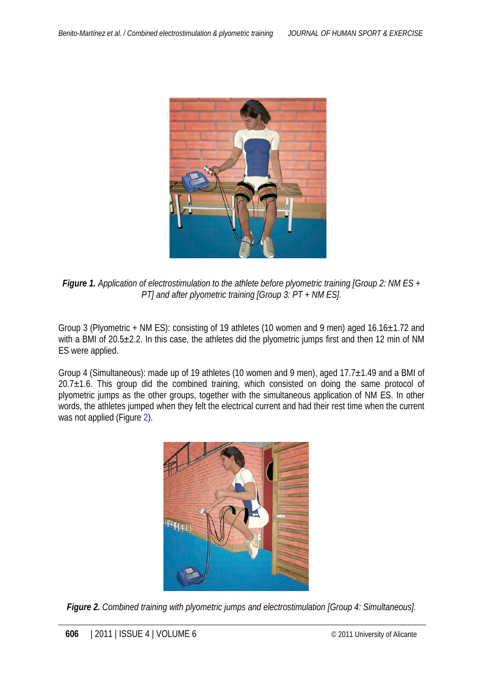<span id="page-3-0"></span>

*Figure 1. Application of electrostimulation to the athlete before plyometric training [Group 2: NM ES + PT] and after plyometric training [Group 3: PT + NM ES].*

Group 3 (Plyometric + NM ES): consisting of 19 athletes (10 women and 9 men) aged 16.16±1.72 and with a BMI of 20.5±2.2. In this case, the athletes did the plyometric jumps first and then 12 min of NM ES were applied.

Group 4 (Simultaneous): made up of 19 athletes (10 women and 9 men), aged 17.7±1.49 and a BMI of  $20.7\pm1.6$ . This group did the combined training, which consisted on doing the same protocol of plyometric jumps as the other groups, together with the simultaneous application of NM ES. In other words, the athletes jumped when they felt the electrical current and had their rest time when the current was not applied (Figure 2).



*Figure 2. Combined training with plyometric jumps and electrostimulation [Group 4: Simultaneous].*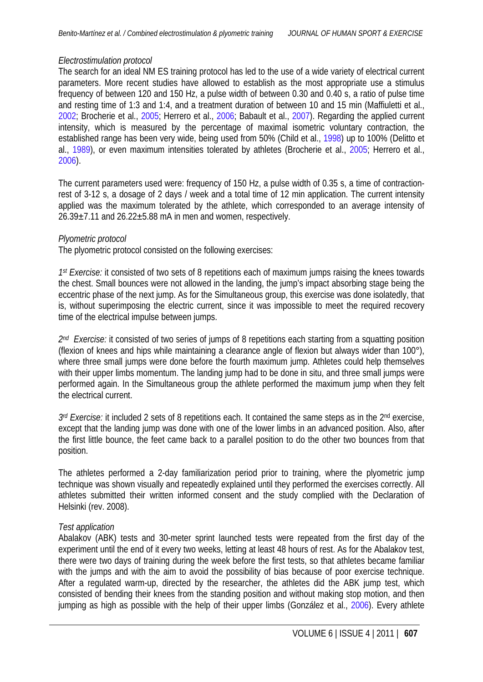## <span id="page-4-0"></span>*Electrostimulation protocol*

The search for an ideal NM ES training protocol has led to the use of a wide variety of electrical current parameters. More recent studies have allowed to establish as the most appropriate use a stimulus frequency of between 120 and 150 Hz, a pulse width of between 0.30 and 0.40 s, a ratio of pulse time and resting time of 1:3 and 1:4, and a treatment duration of between 10 and 15 min (Maffiuletti et al., [2002;](#page-12-0) Brocherie et al., [2005;](#page-11-0) Herrero et al., [2006;](#page-11-0) Babault et al., [2007](#page-11-0)). Regarding the applied current intensity, which is measured by the percentage of maximal isometric voluntary contraction, the established range has been very wide, being used from 50% (Child et al., [1998\)](#page-11-0) up to 100% (Delitto et al., [1989](#page-11-0)), or even maximum intensities tolerated by athletes (Brocherie et al., [2005](#page-11-0); Herrero et al., [2006\)](#page-11-0).

The current parameters used were: frequency of 150 Hz, a pulse width of 0.35 s, a time of contractionrest of 3-12 s, a dosage of 2 days / week and a total time of 12 min application. The current intensity applied was the maximum tolerated by the athlete, which corresponded to an average intensity of  $26.39 \pm 7.11$  and  $26.22 \pm 5.88$  mA in men and women, respectively.

#### *Plyometric protocol*

The plyometric protocol consisted on the following exercises:

*1st Exercise:* it consisted of two sets of 8 repetitions each of maximum jumps raising the knees towards the chest. Small bounces were not allowed in the landing, the jump's impact absorbing stage being the eccentric phase of the next jump. As for the Simultaneous group, this exercise was done isolatedly, that is, without superimposing the electric current, since it was impossible to meet the required recovery time of the electrical impulse between jumps.

*2nd Exercise:* it consisted of two series of jumps of 8 repetitions each starting from a squatting position (flexion of knees and hips while maintaining a clearance angle of flexion but always wider than 100°), where three small jumps were done before the fourth maximum jump. Athletes could help themselves with their upper limbs momentum. The landing jump had to be done in situ, and three small jumps were performed again. In the Simultaneous group the athlete performed the maximum jump when they felt the electrical current.

*3rd Exercise:* it included 2 sets of 8 repetitions each. It contained the same steps as in the 2nd exercise, except that the landing jump was done with one of the lower limbs in an advanced position. Also, after the first little bounce, the feet came back to a parallel position to do the other two bounces from that position.

The athletes performed a 2-day familiarization period prior to training, where the plyometric jump technique was shown visually and repeatedly explained until they performed the exercises correctly. All athletes submitted their written informed consent and the study complied with the Declaration of Helsinki (rev. 2008).

# *Test application*

Abalakov (ABK) tests and 30-meter sprint launched tests were repeated from the first day of the experiment until the end of it every two weeks, letting at least 48 hours of rest. As for the Abalakov test, there were two days of training during the week before the first tests, so that athletes became familiar with the jumps and with the aim to avoid the possibility of bias because of poor exercise technique. After a regulated warm-up, directed by the researcher, the athletes did the ABK jump test, which consisted of bending their knees from the standing position and without making stop motion, and then jumping as high as possible with the help of their upper limbs (González et al., [2006\)](#page-11-0). Every athlete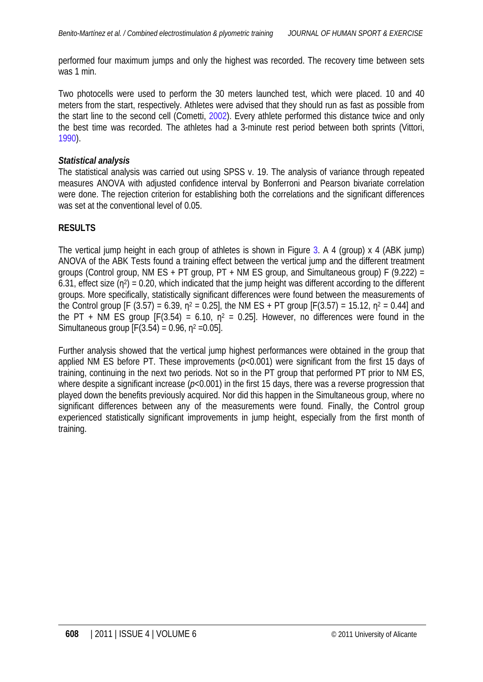<span id="page-5-0"></span>performed four maximum jumps and only the highest was recorded. The recovery time between sets was 1 min.

Two photocells were used to perform the 30 meters launched test, which were placed. 10 and 40 meters from the start, respectively. Athletes were advised that they should run as fast as possible from the start line to the second cell (Cometti, [2002\)](#page-11-0). Every athlete performed this distance twice and only the best time was recorded. The athletes had a 3-minute rest period between both sprints (Vittori, [1990\)](#page-12-0).

## *Statistical analysis*

The statistical analysis was carried out using SPSS v. 19. The analysis of variance through repeated measures ANOVA with adjusted confidence interval by Bonferroni and Pearson bivariate correlation were done. The rejection criterion for establishing both the correlations and the significant differences was set at the conventional level of 0.05.

# **RESULTS**

The vertical jump height in each group of athletes is shown in Figure 3. A 4 (group) x 4 (ABK jump) ANOVA of the ABK Tests found a training effect between the vertical jump and the different treatment groups (Control group, NM ES + PT group,  $PT + NM$  ES group, and Simultaneous group) F (9.222) = 6.31, effect size  $(n^2) = 0.20$ , which indicated that the jump height was different according to the different groups. More specifically, statistically significant differences were found between the measurements of the Control group [F (3.57) = 6.39,  $n^2 = 0.25$ ], the NM ES + PT group [F(3.57) = 15.12,  $n^2 = 0.44$ ] and the PT + NM ES group  $[F(3.54) = 6.10, n^2 = 0.25]$ . However, no differences were found in the Simultaneous group  $[F(3.54) = 0.96, n^2 = 0.05]$ .

Further analysis showed that the vertical jump highest performances were obtained in the group that applied NM ES before PT. These improvements ( $p<0.001$ ) were significant from the first 15 days of training, continuing in the next two periods. Not so in the PT group that performed PT prior to NM ES, where despite a significant increase ( $p<0.001$ ) in the first 15 days, there was a reverse progression that played down the benefits previously acquired. Nor did this happen in the Simultaneous group, where no significant differences between any of the measurements were found. Finally, the Control group experienced statistically significant improvements in jump height, especially from the first month of training.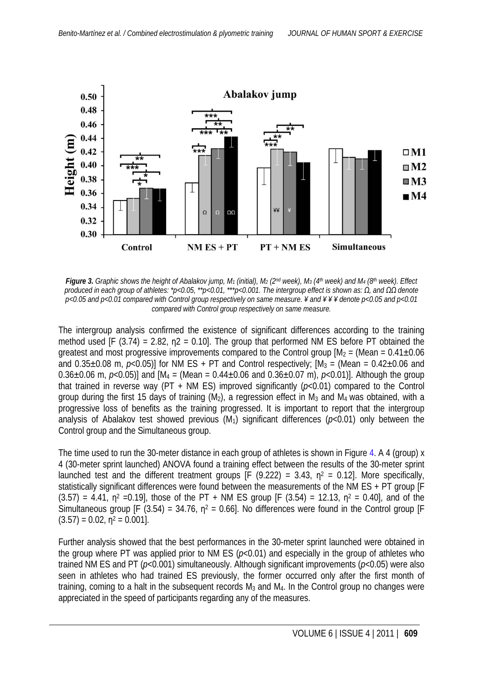

*Figure 3. Graphic shows the height of Abalakov jump, M1 (initial), M2 (2nd week), M3 (4th week) and M4 (8th week). Effect produced in each group of athletes: \*p<0.05, \*\*p<0.01, \*\*\*p<0.001. The intergroup effect is shown as: Ω, and ΩΩ denote p<0.05 and p<0.01 compared with Control group respectively on same measure. ¥ and ¥ ¥ ¥ denote p<0.05 and p<0.01 compared with Control group respectively on same measure.*

The intergroup analysis confirmed the existence of significant differences according to the training method used [F (3.74) = 2.82,  $n^2$  = 0.10]. The group that performed NM ES before PT obtained the greatest and most progressive improvements compared to the Control group  $[M<sub>2</sub> = (Mean = 0.41 \pm 0.06$ and  $0.35\pm0.08$  m,  $p<0.05$ )] for NM ES + PT and Control respectively;  $[M_3 = (Mean = 0.42\pm0.06$  and 0.36 $\pm$ 0.06 m,  $p$ <0.05)] and  $[M_4 = (Mean = 0.44 \pm 0.06$  and  $0.36 \pm 0.07$  m),  $p$ <0.01)]. Although the group that trained in reverse way (PT + NM ES) improved significantly (*p*<0.01) compared to the Control group during the first 15 days of training  $(M_2)$ , a regression effect in  $M_3$  and  $M_4$  was obtained, with a progressive loss of benefits as the training progressed. It is important to report that the intergroup analysis of Abalakov test showed previous  $(M_1)$  significant differences ( $p<0.01$ ) only between the Control group and the Simultaneous group.

The time used to run the 30-meter distance in each group of athletes is shown in Figure [4.](#page-7-0) A 4 (group) x 4 (30-meter sprint launched) ANOVA found a training effect between the results of the 30-meter sprint launched test and the different treatment groups  $[F (9.222) = 3.43, n^2 = 0.12]$ . More specifically, statistically significant differences were found between the measurements of the NM ES + PT group IF  $(3.57) = 4.41$ ,  $n^2 = 0.19$ , those of the PT + NM ES group [F (3.54) = 12.13,  $n^2 = 0.40$ ], and of the Simultaneous group [F (3.54) = 34.76,  $n^2$  = 0.66]. No differences were found in the Control group [F  $(3.57) = 0.02$ ,  $n^2 = 0.001$ .

Further analysis showed that the best performances in the 30-meter sprint launched were obtained in the group where PT was applied prior to NM ES ( $p<0.01$ ) and especially in the group of athletes who trained NM ES and PT (*p*<0.001) simultaneously. Although significant improvements (*p*<0.05) were also seen in athletes who had trained ES previously, the former occurred only after the first month of training, coming to a halt in the subsequent records  $M_3$  and  $M_4$ . In the Control group no changes were appreciated in the speed of participants regarding any of the measures.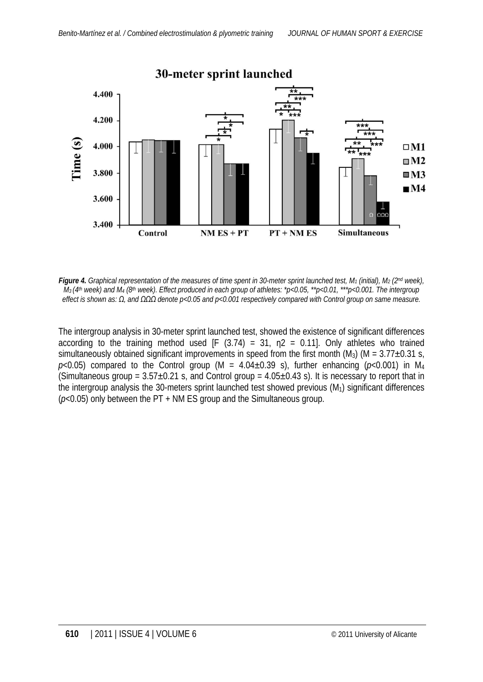<span id="page-7-0"></span>

*Figure 4. Graphical representation of the measures of time spent in 30-meter sprint launched test, M1 (initial), M2 (2nd week), M3 (4th week) and M4 (8th week). Effect produced in each group of athletes: \*p<0.05, \*\*p<0.01, \*\*\*p<0.001. The intergroup effect is shown as: Ω, and ΩΩΩ denote p<0.05 and p<0.001 respectively compared with Control group on same measure.*

The intergroup analysis in 30-meter sprint launched test, showed the existence of significant differences according to the training method used  $[F (3.74) = 31, n2 = 0.11]$ . Only athletes who trained simultaneously obtained significant improvements in speed from the first month (M<sub>3</sub>) (M =  $3.77\pm0.31$  s,  $p<0.05$ ) compared to the Control group (M =  $4.04\pm0.39$  s), further enhancing ( $p<0.001$ ) in M<sub>4</sub> (Simultaneous group =  $3.57\pm0.21$  s, and Control group =  $4.05\pm0.43$  s). It is necessary to report that in the intergroup analysis the 30-meters sprint launched test showed previous  $(M_1)$  significant differences (*p*<0.05) only between the PT + NM ES group and the Simultaneous group.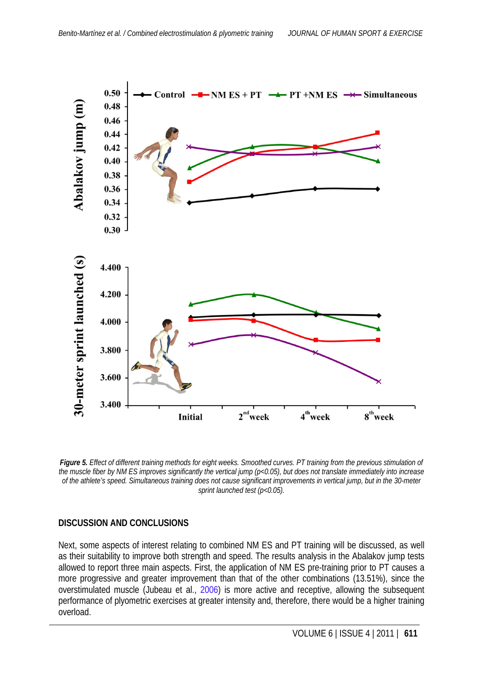

*Figure 5. Effect of different training methods for eight weeks. Smoothed curves. PT training from the previous stimulation of the muscle fiber by NM ES improves significantly the vertical jump (p<0.05), but does not translate immediately into increase of the athlete's speed. Simultaneous training does not cause significant improvements in vertical jump, but in the 30-meter sprint launched test (p<0.05).*

# **DISCUSSION AND CONCLUSIONS**

Next, some aspects of interest relating to combined NM ES and PT training will be discussed, as well as their suitability to improve both strength and speed. The results analysis in the Abalakov jump tests allowed to report three main aspects. First, the application of NM ES pre-training prior to PT causes a more progressive and greater improvement than that of the other combinations (13.51%), since the overstimulated muscle (Jubeau et al., [2006\)](#page-11-0) is more active and receptive, allowing the subsequent performance of plyometric exercises at greater intensity and, therefore, there would be a higher training overload.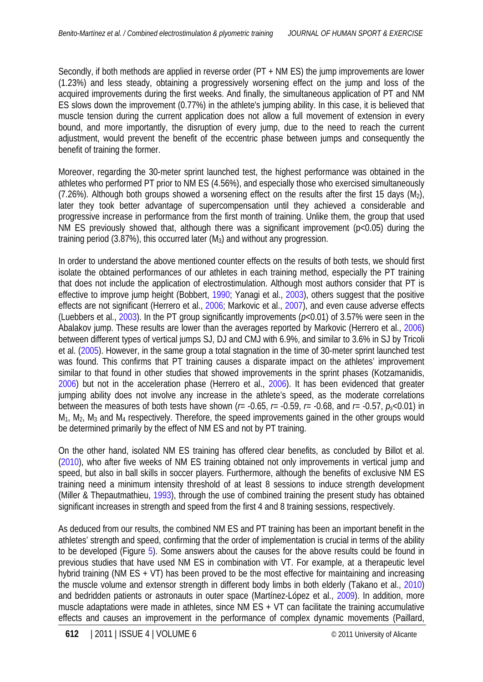<span id="page-9-0"></span>Secondly, if both methods are applied in reverse order (PT + NM ES) the jump improvements are lower (1.23%) and less steady, obtaining a progressively worsening effect on the jump and loss of the acquired improvements during the first weeks. And finally, the simultaneous application of PT and NM ES slows down the improvement (0.77%) in the athlete's jumping ability. In this case, it is believed that muscle tension during the current application does not allow a full movement of extension in every bound, and more importantly, the disruption of every jump, due to the need to reach the current adjustment, would prevent the benefit of the eccentric phase between jumps and consequently the benefit of training the former.

Moreover, regarding the 30-meter sprint launched test, the highest performance was obtained in the athletes who performed PT prior to NM ES (4.56%), and especially those who exercised simultaneously  $(7.26\%)$ . Although both groups showed a worsening effect on the results after the first 15 days (M<sub>2</sub>), later they took better advantage of supercompensation until they achieved a considerable and progressive increase in performance from the first month of training. Unlike them, the group that used NM ES previously showed that, although there was a significant improvement (p<0.05) during the training period (3.87%), this occurred later (M3) and without any progression.

In order to understand the above mentioned counter effects on the results of both tests, we should first isolate the obtained performances of our athletes in each training method, especially the PT training that does not include the application of electrostimulation. Although most authors consider that PT is effective to improve jump height (Bobbert[, 1990;](#page-11-0) Yanagi et al., [2003](#page-12-0)), others suggest that the positive effects are not significant (Herrero et al., [2006](#page-11-0); Markovic et al., [2007](#page-12-0)), and even cause adverse effects (Luebbers et al., [2003\)](#page-12-0). In the PT group significantly improvements (*p*<0.01) of 3.57% were seen in the Abalakov jump. These results are lower than the averages reported by Markovic (Herrero et al., [2006](#page-11-0)) between different types of vertical jumps SJ, DJ and CMJ with 6.9%, and similar to 3.6% in SJ by Tricoli et al. ([2005\)](#page-12-0). However, in the same group a total stagnation in the time of 30-meter sprint launched test was found. This confirms that PT training causes a disparate impact on the athletes' improvement similar to that found in other studies that showed improvements in the sprint phases (Kotzamanidis, [2006\)](#page-11-0) but not in the acceleration phase (Herrero et al., [2006](#page-11-0)). It has been evidenced that greater jumping ability does not involve any increase in the athlete's speed, as the moderate correlations between the measures of both tests have shown ( $r = -0.65$ ,  $r = -0.59$ ,  $r = -0.68$ , and  $r = -0.57$ ,  $p \ll 0.01$ ) in  $M_1$ ,  $M_2$ ,  $M_3$  and  $M_4$  respectively. Therefore, the speed improvements gained in the other groups would be determined primarily by the effect of NM ES and not by PT training.

On the other hand, isolated NM ES training has offered clear benefits, as concluded by Billot et al. [\(2010](#page-11-0)), who after five weeks of NM ES training obtained not only improvements in vertical jump and speed, but also in ball skills in soccer players. Furthermore, although the benefits of exclusive NM ES training need a minimum intensity threshold of at least 8 sessions to induce strength development (Miller & Thepautmathieu, [1993](#page-12-0)), through the use of combined training the present study has obtained significant increases in strength and speed from the first 4 and 8 training sessions, respectively.

As deduced from our results, the combined NM ES and PT training has been an important benefit in the athletes' strength and speed, confirming that the order of implementation is crucial in terms of the ability to be developed (Figure 5). Some answers about the causes for the above results could be found in previous studies that have used NM ES in combination with VT. For example, at a therapeutic level hybrid training (NM ES + VT) has been proved to be the most effective for maintaining and increasing the muscle volume and extensor strength in different body limbs in both elderly (Takano et al., [2010](#page-12-0)) and bedridden patients or astronauts in outer space (Martínez-López et al., [2009](#page-12-0)). In addition, more muscle adaptations were made in athletes, since NM ES + VT can facilitate the training accumulative effects and causes an improvement in the performance of complex dynamic movements (Paillard,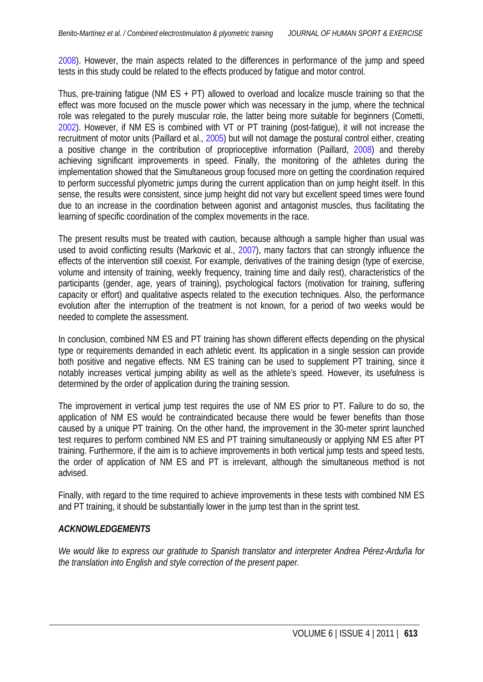<span id="page-10-0"></span>[2008\)](#page-12-0). However, the main aspects related to the differences in performance of the jump and speed tests in this study could be related to the effects produced by fatigue and motor control.

Thus, pre-training fatigue (NM ES  $+$  PT) allowed to overload and localize muscle training so that the effect was more focused on the muscle power which was necessary in the jump, where the technical role was relegated to the purely muscular role, the latter being more suitable for beginners (Cometti, [2002\)](#page-11-0). However, if NM ES is combined with VT or PT training (post-fatigue), it will not increase the recruitment of motor units (Paillard et al., [2005\)](#page-12-0) but will not damage the postural control either, creating a positive change in the contribution of proprioceptive information (Paillard, [2008](#page-12-0)) and thereby achieving significant improvements in speed. Finally, the monitoring of the athletes during the implementation showed that the Simultaneous group focused more on getting the coordination required to perform successful plyometric jumps during the current application than on jump height itself. In this sense, the results were consistent, since jump height did not vary but excellent speed times were found due to an increase in the coordination between agonist and antagonist muscles, thus facilitating the learning of specific coordination of the complex movements in the race.

The present results must be treated with caution, because although a sample higher than usual was used to avoid conflicting results (Markovic et al., [2007\)](#page-12-0), many factors that can strongly influence the effects of the intervention still coexist. For example, derivatives of the training design (type of exercise, volume and intensity of training, weekly frequency, training time and daily rest), characteristics of the participants (gender, age, years of training), psychological factors (motivation for training, suffering capacity or effort) and qualitative aspects related to the execution techniques. Also, the performance evolution after the interruption of the treatment is not known, for a period of two weeks would be needed to complete the assessment.

In conclusion, combined NM ES and PT training has shown different effects depending on the physical type or requirements demanded in each athletic event. Its application in a single session can provide both positive and negative effects. NM ES training can be used to supplement PT training, since it notably increases vertical jumping ability as well as the athlete's speed. However, its usefulness is determined by the order of application during the training session.

The improvement in vertical jump test requires the use of NM ES prior to PT. Failure to do so, the application of NM ES would be contraindicated because there would be fewer benefits than those caused by a unique PT training. On the other hand, the improvement in the 30-meter sprint launched test requires to perform combined NM ES and PT training simultaneously or applying NM ES after PT training. Furthermore, if the aim is to achieve improvements in both vertical jump tests and speed tests, the order of application of NM ES and PT is irrelevant, although the simultaneous method is not advised.

Finally, with regard to the time required to achieve improvements in these tests with combined NM ES and PT training, it should be substantially lower in the jump test than in the sprint test.

#### *ACKNOWLEDGEMENTS*

*We would like to express our gratitude to Spanish translator and interpreter Andrea Pérez-Arduña for the translation into English and style correction of the present paper.*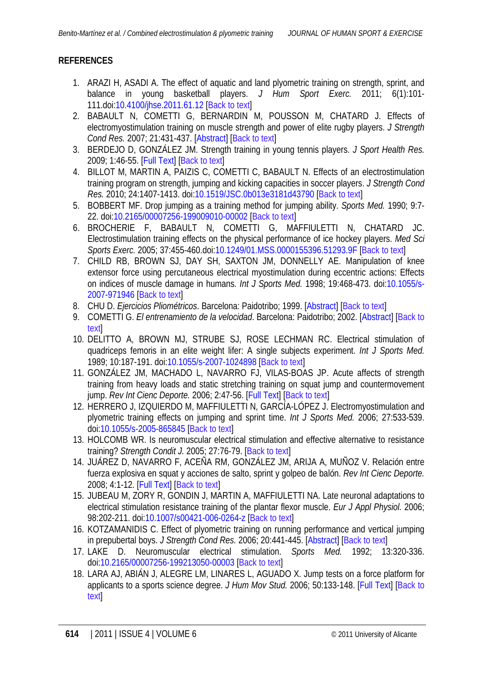# <span id="page-11-0"></span>**REFERENCES**

- 1. ARAZI H, ASADI A. The effect of aquatic and land plyometric training on strength, sprint, and balance in young basketball players. *J Hum Sport Exerc.* 2011; 6(1):101- 111.doi[:10.4100/jhse.2011.61.12](http://dx.doi.org/10.4100/jhse.2011.61.12) [[Back to text\]](#page-1-0)
- 2. BABAULT N, COMETTI G, BERNARDIN M, POUSSON M, CHATARD J. Effects of electromyostimulation training on muscle strength and power of elite rugby players. *J Strength Cond Res.* 2007; 21:431-437. [\[Abstract\]](http://www.ncbi.nlm.nih.gov/pubmed/17530954) [[Back to text](#page-1-0)]
- 3. BERDEJO D, GONZÁLEZ JM. Strength training in young tennis players. *J Sport Health Res.* 2009; 1:46-55. [\[Full Text\]](http://www.journalshr.com/papers/Vol%201_N%201/V1_1_05.pdf) [[Back to text](#page-1-0)]
- 4. BILLOT M, MARTIN A, PAIZIS C, COMETTI C, BABAULT N. Effects of an electrostimulation training program on strength, jumping and kicking capacities in soccer players. *J Strength Cond Res.* 2010; 24:1407-1413. doi[:10.1519/JSC.0b013e3181d43790](http://dx.doi.org/10.1519/JSC.0b013e3181d43790) [[Back to text](#page-9-0)]
- 5. BOBBERT MF. Drop jumping as a training method for jumping ability. *Sports Med.* 1990; 9:7- 22. doi[:10.2165/00007256-199009010-00002](http://dx.doi.org/10.2165/00007256-199009010-00002) [[Back to text](#page-9-0)]
- 6. BROCHERIE F, BABAULT N, COMETTI G, MAFFIULETTI N, CHATARD JC. Electrostimulation training effects on the physical performance of ice hockey players. *Med Sci Sports Exerc.* 2005; 37:455-460.doi[:10.1249/01.MSS.0000155396.51293.9F](http://dx.doi.org/10.1249/01.MSS.0000155396.51293.9F) [\[Back to text\]](#page-1-0)
- 7. CHILD RB, BROWN SJ, DAY SH, SAXTON JM, DONNELLY AE. Manipulation of knee extensor force using percutaneous electrical myostimulation during eccentric actions: Effects on indices of muscle damage in humans*. Int J Sports Med.* 1998; 19:468-473. doi[:10.1055/s-](http://dx.doi.org/10.1055/s-2007-971946)[2007-971946](http://dx.doi.org/10.1055/s-2007-971946) [\[Back to text\]](#page-4-0)
- 8. CHU D. *Ejercicios Pliométricos*. Barcelona: Paidotribo; 1999. [\[Abstract\]](http://books.google.es/books?id=qV29Qr8F7pgC&printsec=frontcover&dq=related:ISBN8480195460&lr=#v=onepage&q&f=false) [[Back to text\]](#page-1-0)
- 9. COMETTI G. *El entrenamiento de la velocidad*. Barcelona: Paidotribo; 2002. [\[Abstract\]](http://books.google.es/books/about/El_entrenamiento_de_la_velocidad.html?id=wB_wjEO-tIQC&redir_esc=y) [\[Back to](#page-5-0) [text\]](#page-5-0)
- 10. DELITTO A, BROWN MJ, STRUBE SJ, ROSE LECHMAN RC. Electrical stimulation of quadriceps femoris in an elite weight lifer: A single subjects experiment. *Int J Sports Med.* 1989; 10:187-191. doi[:10.1055/s-2007-1024898](http://dx.doi.org/10.1055/s-2007-1024898) [[Back to text](#page-4-0)]
- 11. GONZÁLEZ JM, MACHADO L, NAVARRO FJ, VILAS-BOAS JP. Acute affects of strength training from heavy loads and static stretching training on squat jump and countermovement jump. *Rev Int Cienc Deporte.* 2006: 2:47-56. [\[Full Text\]](http://redalyc.uaemex.mx/redalyc/html/710/71000404/71000404.html) [[Back to text](#page-4-0)]
- 12. HERRERO J, IZQUIERDO M, MAFFIULETTI N, GARCÍA-LÓPEZ J. Electromyostimulation and plyometric training effects on jumping and sprint time. *Int J Sports Med.* 2006; 27:533-539. doi[:10.1055/s-2005-865845](http://dx.doi.org/10.1055/s-2005-865845) [[Back to text](#page-1-0)]
- 13. HOLCOMB WR. Is neuromuscular electrical stimulation and effective alternative to resistance training? *Strength Condit J.* 2005; 27:76-79. [\[Back to text\]](#page-1-0)
- 14. JUÁREZ D, NAVARRO F, ACEÑA RM, GONZÁLEZ JM, ARIJA A, MUÑOZ V. Relación entre fuerza explosiva en squat y acciones de salto, sprint y golpeo de balón. *Rev Int Cienc Deporte.* 2008; 4:1-12. [\[Full Text\]](http://redalyc.uaemex.mx/pdf/710/71041002.pdf) [\[Back to text\]](#page-1-0)
- 15. JUBEAU M, ZORY R, GONDIN J, MARTIN A, MAFFIULETTI NA. Late neuronal adaptations to electrical stimulation resistance training of the plantar flexor muscle. *Eur J Appl Physiol.* 2006; 98:202-211. doi[:10.1007/s00421-006-0264-z](http://dx.doi.org/10.1007/s00421-006-0264-z) [\[Back to text\]](#page-1-0)
- 16. KOTZAMANIDIS C. Effect of plyometric training on running performance and vertical jumping in prepubertal boys. *J Strength Cond Res.* 2006: 20:441-445. [\[Abstract\]](http://www.ncbi.nlm.nih.gov/pubmed/16686577) [[Back to text](#page-1-0)]
- 17. LAKE D. Neuromuscular electrical stimulation. *Sports Med.* 1992; 13:320-336. doi[:10.2165/00007256-199213050-00003](http://dx.doi.org/10.2165/00007256-199213050-00003) [[Back to text](#page-1-0)]
- 18. LARA AJ, ABIÁN J, ALEGRE LM, LINARES L, AGUADO X. Jump tests on a force platform for applicants to a sports science degree. *J Hum Mov Stud.* 2006; 50:133-148. [\[Full Text\]](http://www.uclm.es/organos/vic_investigacion/gruposweb/BiomecanicaHumanaDeportiva/Curriculum%20laboratorio/articulos%20pdf/LaraAJ_2005%20JHMS%20Pruebas%20acceso.PDF) [\[Back to](#page-1-0) [text\]](#page-1-0)